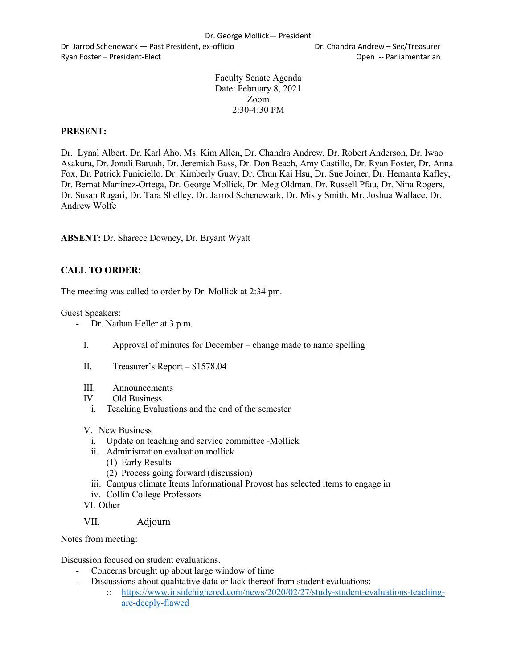Dr. Jarrod Schenewark — Past President, ex-officio Dr. Chandra Andrew – Sec/Treasurer Ryan Foster – President-Elect Controller Controller Controller Controller Controller Controller Controller Controller Controller Controller Controller Controller Controller Controller Controller Controller Controller Contr

Faculty Senate Agenda Date: February 8, 2021 Zoom 2:30-4:30 PM

### **PRESENT:**

Dr. Lynal Albert, Dr. Karl Aho, Ms. Kim Allen, Dr. Chandra Andrew, Dr. Robert Anderson, Dr. Iwao Asakura, Dr. Jonali Baruah, Dr. Jeremiah Bass, Dr. Don Beach, Amy Castillo, Dr. Ryan Foster, Dr. Anna Fox, Dr. Patrick Funiciello, Dr. Kimberly Guay, Dr. Chun Kai Hsu, Dr. Sue Joiner, Dr. Hemanta Kafley, Dr. Bernat Martinez-Ortega, Dr. George Mollick, Dr. Meg Oldman, Dr. Russell Pfau, Dr. Nina Rogers, Dr. Susan Rugari, Dr. Tara Shelley, Dr. Jarrod Schenewark, Dr. Misty Smith, Mr. Joshua Wallace, Dr. Andrew Wolfe

**ABSENT:** Dr. Sharece Downey, Dr. Bryant Wyatt

## **CALL TO ORDER:**

The meeting was called to order by Dr. Mollick at 2:34 pm.

Guest Speakers:

- Dr. Nathan Heller at 3 p.m.
	- I. Approval of minutes for December change made to name spelling
	- II. Treasurer's Report \$1578.04
	- III. Announcements
	- IV. Old Business
		- i. Teaching Evaluations and the end of the semester

#### V. New Business

- i. Update on teaching and service committee -Mollick
- ii. Administration evaluation mollick
	- (1) Early Results
	- (2) Process going forward (discussion)
- iii. Campus climate Items Informational Provost has selected items to engage in
- iv. Collin College Professors
- VI. Other

### VII. Adjourn

Notes from meeting:

Discussion focused on student evaluations.

- Concerns brought up about large window of time
- Discussions about qualitative data or lack thereof from student evaluations:
	- o [https://www.insidehighered.com/news/2020/02/27/study-student-evaluations-teaching](https://www.insidehighered.com/news/2020/02/27/study-student-evaluations-teaching-are-deeply-flawed)[are-deeply-flawed](https://www.insidehighered.com/news/2020/02/27/study-student-evaluations-teaching-are-deeply-flawed)